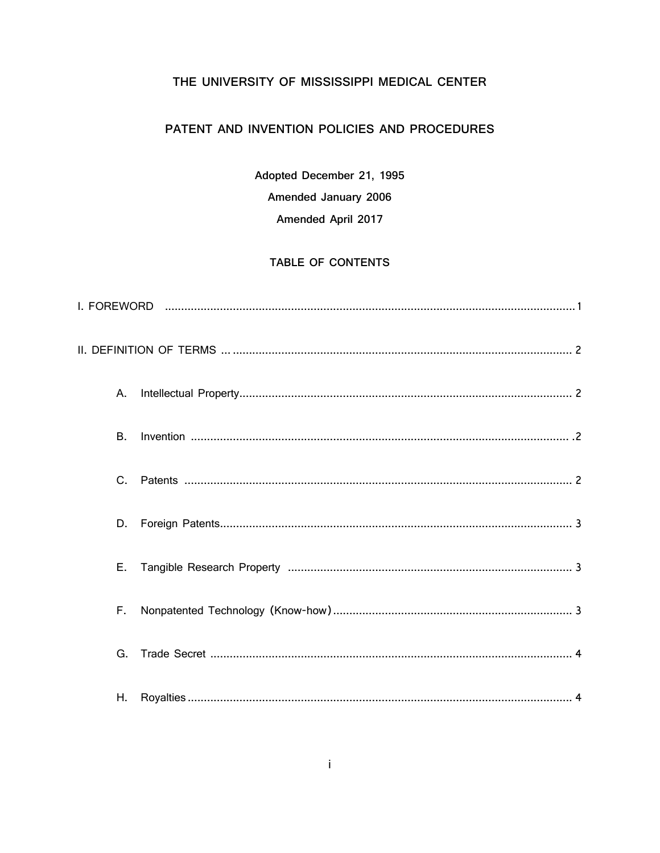## THE UNIVERSITY OF MISSISSIPPI MEDICAL CENTER

# PATENT AND INVENTION POLICIES AND PROCEDURES

Adopted December 21, 1995 Amended January 2006 Amended April 2017

### TABLE OF CONTENTS

| А.        |  |
|-----------|--|
| <b>B.</b> |  |
| $C_{1}$   |  |
| D.        |  |
| Е.        |  |
| F.        |  |
| G.        |  |
| Η.        |  |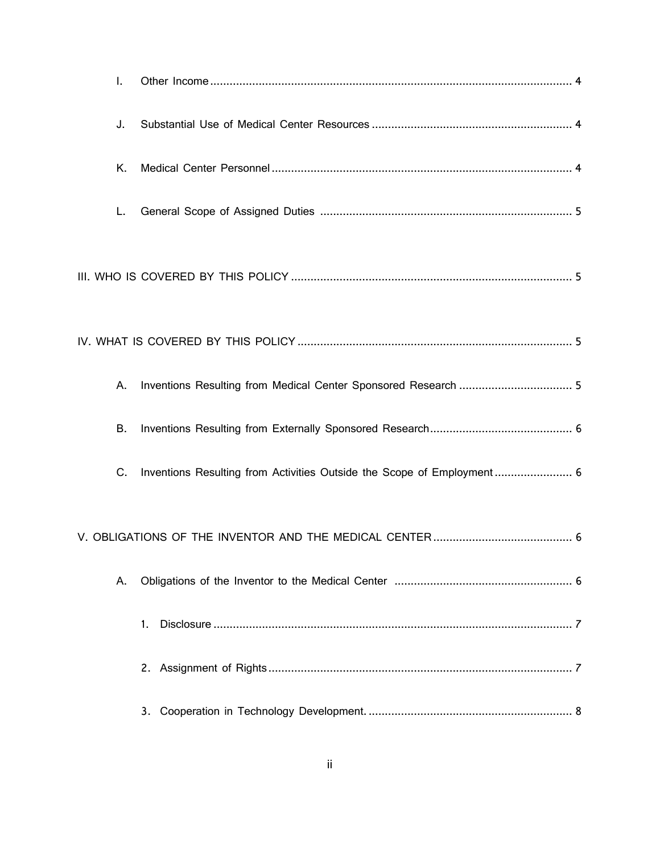| I. |                                                                        |
|----|------------------------------------------------------------------------|
| J. |                                                                        |
| Κ. |                                                                        |
| L. |                                                                        |
|    |                                                                        |
|    |                                                                        |
| Α. |                                                                        |
| В. |                                                                        |
| C. | Inventions Resulting from Activities Outside the Scope of Employment 6 |
|    |                                                                        |
| Α. |                                                                        |
|    | 1.                                                                     |
|    |                                                                        |
|    |                                                                        |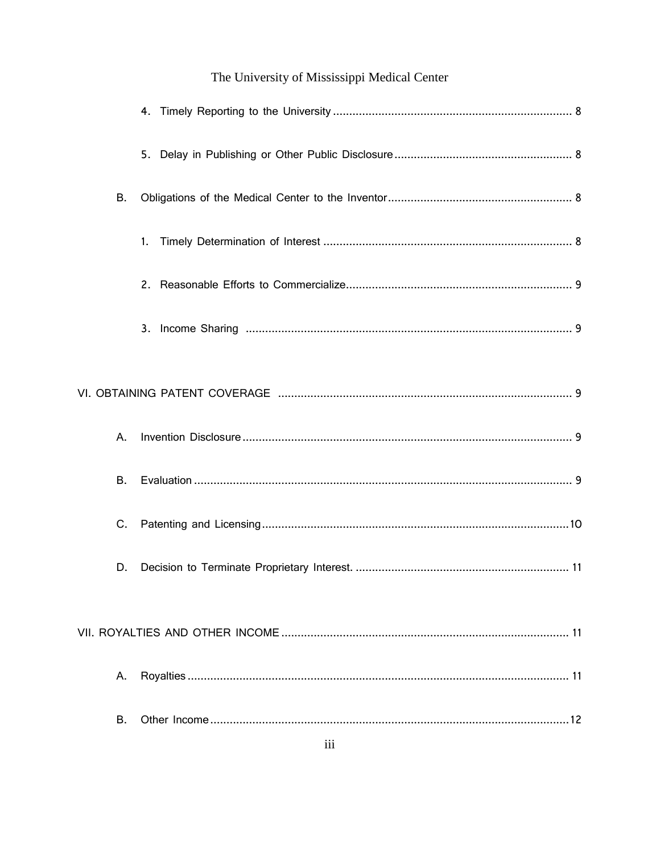| <b>B.</b> |    |
|-----------|----|
|           | 1. |
|           |    |
|           |    |
|           |    |
| Α.        |    |
| В.        |    |
| C.        |    |
| D.        |    |
|           |    |
| А.        |    |
| В.        |    |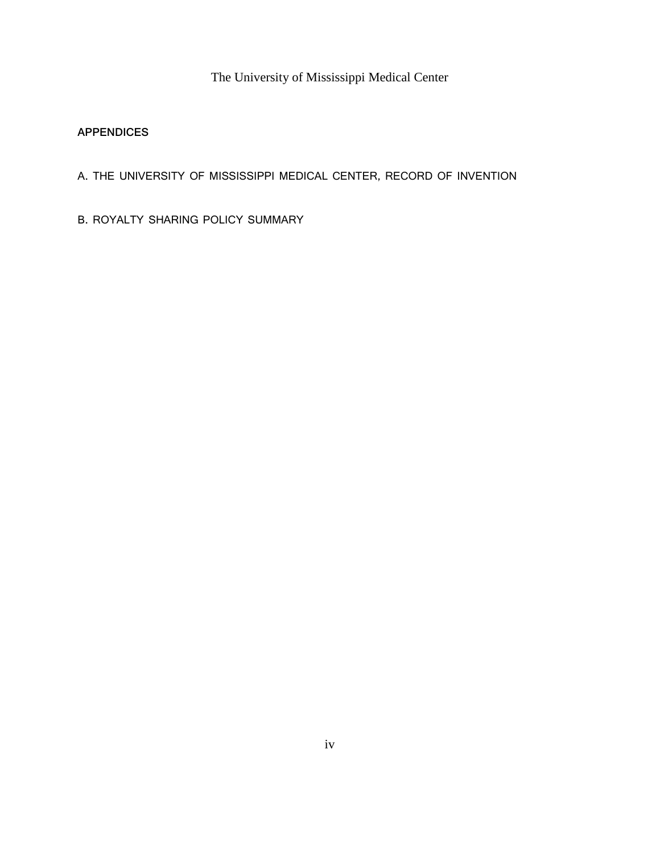## **APPENDICES**

- A. THE UNIVERSITY OF MISSISSIPPI MEDICAL CENTER, RECORD OF INVENTION
- B. ROYALTY SHARING POLICY SUMMARY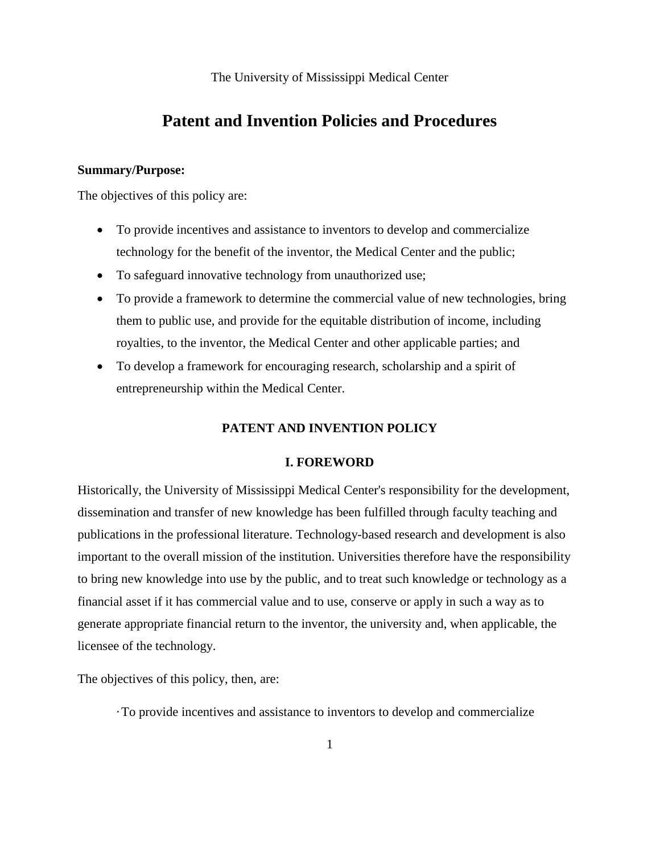# **Patent and Invention Policies and Procedures**

#### **Summary/Purpose:**

The objectives of this policy are:

- To provide incentives and assistance to inventors to develop and commercialize technology for the benefit of the inventor, the Medical Center and the public;
- To safeguard innovative technology from unauthorized use;
- To provide a framework to determine the commercial value of new technologies, bring them to public use, and provide for the equitable distribution of income, including royalties, to the inventor, the Medical Center and other applicable parties; and
- To develop a framework for encouraging research, scholarship and a spirit of entrepreneurship within the Medical Center.

### **PATENT AND INVENTION POLICY**

#### **I. FOREWORD**

Historically, the University of Mississippi Medical Center's responsibility for the development, dissemination and transfer of new knowledge has been fulfilled through faculty teaching and publications in the professional literature. Technology-based research and development is also important to the overall mission of the institution. Universities therefore have the responsibility to bring new knowledge into use by the public, and to treat such knowledge or technology as a financial asset if it has commercial value and to use, conserve or apply in such a way as to generate appropriate financial return to the inventor, the university and, when applicable, the licensee of the technology.

The objectives of this policy, then, are:

·To provide incentives and assistance to inventors to develop and commercialize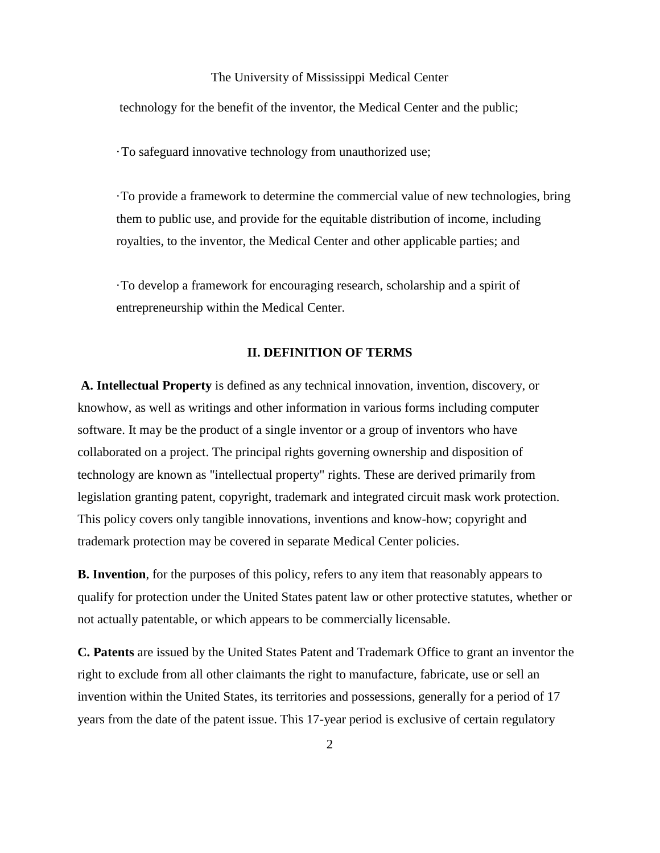technology for the benefit of the inventor, the Medical Center and the public;

·To safeguard innovative technology from unauthorized use;

·To provide a framework to determine the commercial value of new technologies, bring them to public use, and provide for the equitable distribution of income, including royalties, to the inventor, the Medical Center and other applicable parties; and

·To develop a framework for encouraging research, scholarship and a spirit of entrepreneurship within the Medical Center.

#### **II. DEFINITION OF TERMS**

**A. Intellectual Property** is defined as any technical innovation, invention, discovery, or knowhow, as well as writings and other information in various forms including computer software. It may be the product of a single inventor or a group of inventors who have collaborated on a project. The principal rights governing ownership and disposition of technology are known as "intellectual property" rights. These are derived primarily from legislation granting patent, copyright, trademark and integrated circuit mask work protection. This policy covers only tangible innovations, inventions and know-how; copyright and trademark protection may be covered in separate Medical Center policies.

**B. Invention**, for the purposes of this policy, refers to any item that reasonably appears to qualify for protection under the United States patent law or other protective statutes, whether or not actually patentable, or which appears to be commercially licensable.

**C. Patents** are issued by the United States Patent and Trademark Office to grant an inventor the right to exclude from all other claimants the right to manufacture, fabricate, use or sell an invention within the United States, its territories and possessions, generally for a period of 17 years from the date of the patent issue. This 17-year period is exclusive of certain regulatory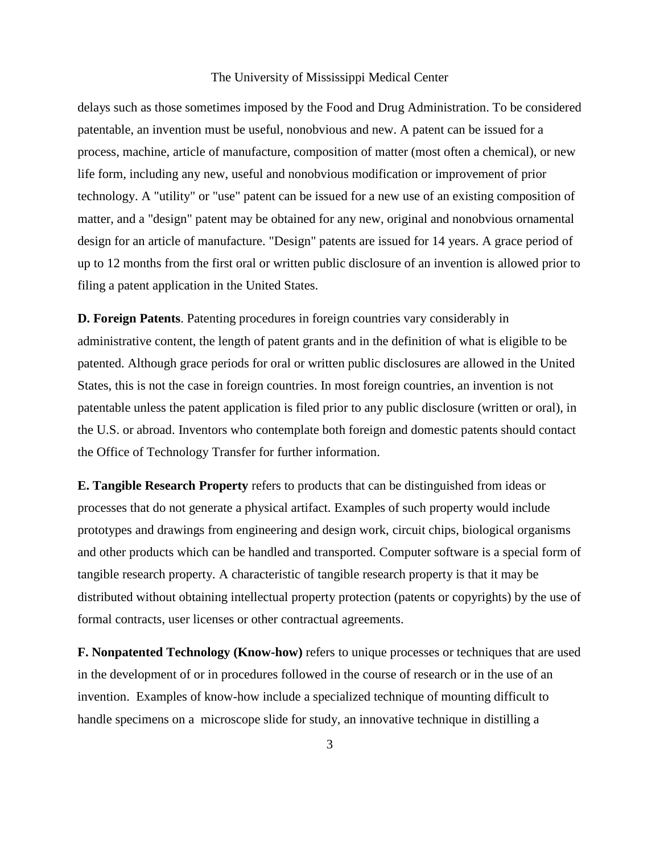delays such as those sometimes imposed by the Food and Drug Administration. To be considered patentable, an invention must be useful, nonobvious and new. A patent can be issued for a process, machine, article of manufacture, composition of matter (most often a chemical), or new life form, including any new, useful and nonobvious modification or improvement of prior technology. A "utility" or "use" patent can be issued for a new use of an existing composition of matter, and a "design" patent may be obtained for any new, original and nonobvious ornamental design for an article of manufacture. "Design" patents are issued for 14 years. A grace period of up to 12 months from the first oral or written public disclosure of an invention is allowed prior to filing a patent application in the United States.

**D. Foreign Patents**. Patenting procedures in foreign countries vary considerably in administrative content, the length of patent grants and in the definition of what is eligible to be patented. Although grace periods for oral or written public disclosures are allowed in the United States, this is not the case in foreign countries. In most foreign countries, an invention is not patentable unless the patent application is filed prior to any public disclosure (written or oral), in the U.S. or abroad. Inventors who contemplate both foreign and domestic patents should contact the Office of Technology Transfer for further information.

**E. Tangible Research Property** refers to products that can be distinguished from ideas or processes that do not generate a physical artifact. Examples of such property would include prototypes and drawings from engineering and design work, circuit chips, biological organisms and other products which can be handled and transported. Computer software is a special form of tangible research property. A characteristic of tangible research property is that it may be distributed without obtaining intellectual property protection (patents or copyrights) by the use of formal contracts, user licenses or other contractual agreements.

**F. Nonpatented Technology (Know-how)** refers to unique processes or techniques that are used in the development of or in procedures followed in the course of research or in the use of an invention. Examples of know-how include a specialized technique of mounting difficult to handle specimens on a microscope slide for study, an innovative technique in distilling a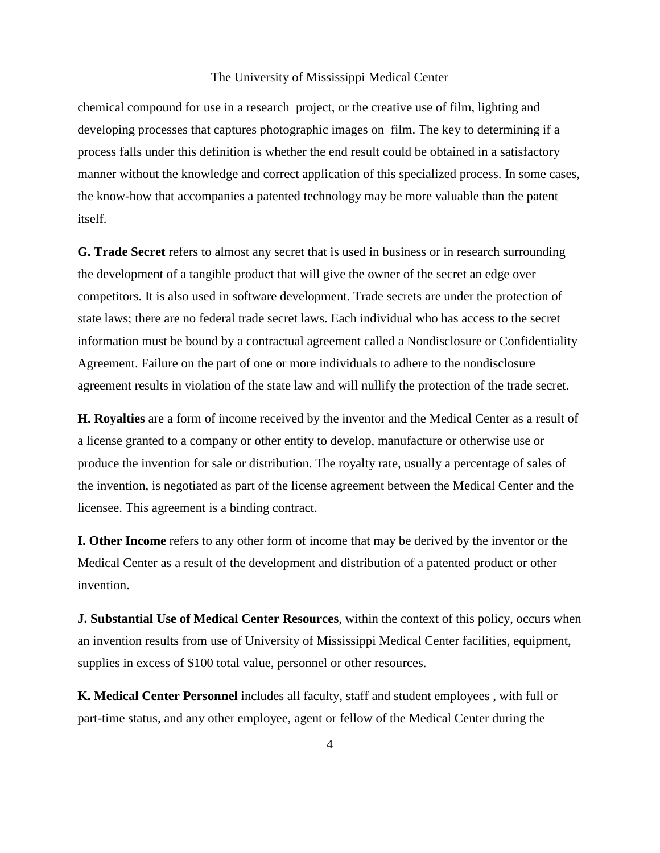chemical compound for use in a research project, or the creative use of film, lighting and developing processes that captures photographic images on film. The key to determining if a process falls under this definition is whether the end result could be obtained in a satisfactory manner without the knowledge and correct application of this specialized process. In some cases, the know-how that accompanies a patented technology may be more valuable than the patent itself.

**G. Trade Secret** refers to almost any secret that is used in business or in research surrounding the development of a tangible product that will give the owner of the secret an edge over competitors. It is also used in software development. Trade secrets are under the protection of state laws; there are no federal trade secret laws. Each individual who has access to the secret information must be bound by a contractual agreement called a Nondisclosure or Confidentiality Agreement. Failure on the part of one or more individuals to adhere to the nondisclosure agreement results in violation of the state law and will nullify the protection of the trade secret.

**H. Royalties** are a form of income received by the inventor and the Medical Center as a result of a license granted to a company or other entity to develop, manufacture or otherwise use or produce the invention for sale or distribution. The royalty rate, usually a percentage of sales of the invention, is negotiated as part of the license agreement between the Medical Center and the licensee. This agreement is a binding contract.

**I. Other Income** refers to any other form of income that may be derived by the inventor or the Medical Center as a result of the development and distribution of a patented product or other invention.

**J. Substantial Use of Medical Center Resources**, within the context of this policy, occurs when an invention results from use of University of Mississippi Medical Center facilities, equipment, supplies in excess of \$100 total value, personnel or other resources.

**K. Medical Center Personnel** includes all faculty, staff and student employees , with full or part-time status, and any other employee, agent or fellow of the Medical Center during the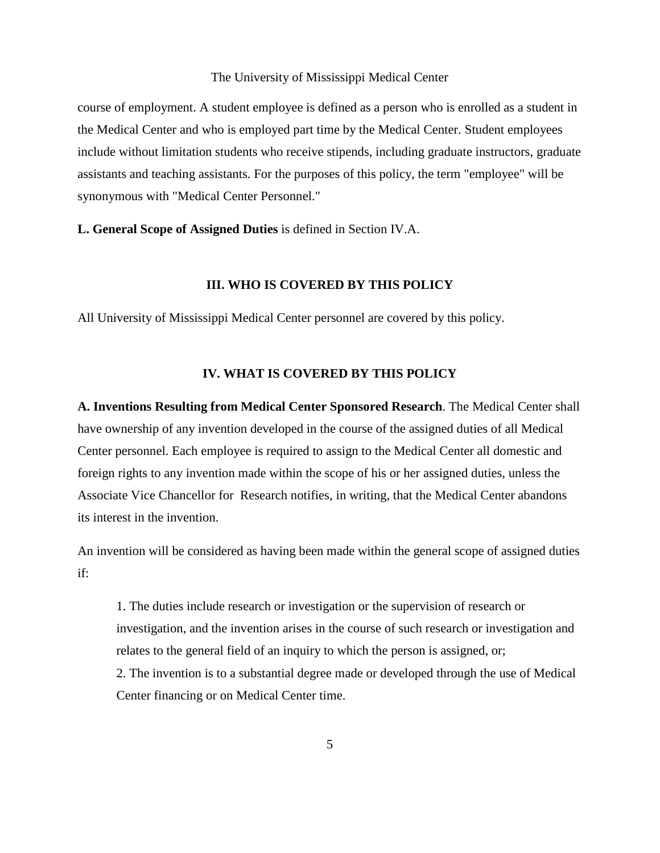course of employment. A student employee is defined as a person who is enrolled as a student in the Medical Center and who is employed part time by the Medical Center. Student employees include without limitation students who receive stipends, including graduate instructors, graduate assistants and teaching assistants. For the purposes of this policy, the term "employee" will be synonymous with "Medical Center Personnel."

**L. General Scope of Assigned Duties** is defined in Section IV.A.

#### **III. WHO IS COVERED BY THIS POLICY**

All University of Mississippi Medical Center personnel are covered by this policy.

#### **IV. WHAT IS COVERED BY THIS POLICY**

**A. Inventions Resulting from Medical Center Sponsored Research**. The Medical Center shall have ownership of any invention developed in the course of the assigned duties of all Medical Center personnel. Each employee is required to assign to the Medical Center all domestic and foreign rights to any invention made within the scope of his or her assigned duties, unless the Associate Vice Chancellor for Research notifies, in writing, that the Medical Center abandons its interest in the invention.

An invention will be considered as having been made within the general scope of assigned duties if:

1. The duties include research or investigation or the supervision of research or investigation, and the invention arises in the course of such research or investigation and relates to the general field of an inquiry to which the person is assigned, or; 2. The invention is to a substantial degree made or developed through the use of Medical Center financing or on Medical Center time.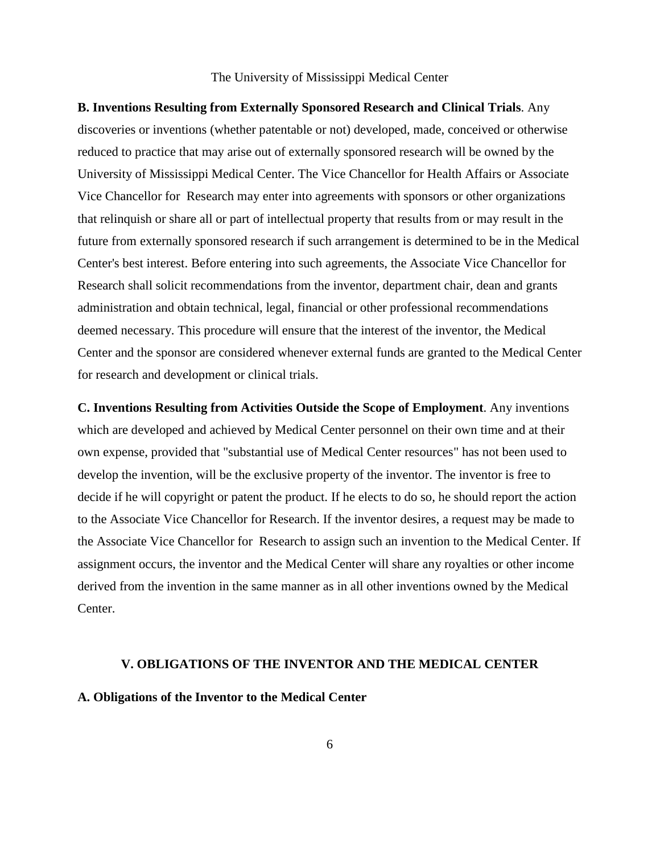**B. Inventions Resulting from Externally Sponsored Research and Clinical Trials**. Any discoveries or inventions (whether patentable or not) developed, made, conceived or otherwise reduced to practice that may arise out of externally sponsored research will be owned by the University of Mississippi Medical Center. The Vice Chancellor for Health Affairs or Associate Vice Chancellor for Research may enter into agreements with sponsors or other organizations that relinquish or share all or part of intellectual property that results from or may result in the future from externally sponsored research if such arrangement is determined to be in the Medical Center's best interest. Before entering into such agreements, the Associate Vice Chancellor for Research shall solicit recommendations from the inventor, department chair, dean and grants administration and obtain technical, legal, financial or other professional recommendations deemed necessary. This procedure will ensure that the interest of the inventor, the Medical Center and the sponsor are considered whenever external funds are granted to the Medical Center for research and development or clinical trials.

**C. Inventions Resulting from Activities Outside the Scope of Employment**. Any inventions which are developed and achieved by Medical Center personnel on their own time and at their own expense, provided that "substantial use of Medical Center resources" has not been used to develop the invention, will be the exclusive property of the inventor. The inventor is free to decide if he will copyright or patent the product. If he elects to do so, he should report the action to the Associate Vice Chancellor for Research. If the inventor desires, a request may be made to the Associate Vice Chancellor for Research to assign such an invention to the Medical Center. If assignment occurs, the inventor and the Medical Center will share any royalties or other income derived from the invention in the same manner as in all other inventions owned by the Medical Center.

#### **V. OBLIGATIONS OF THE INVENTOR AND THE MEDICAL CENTER**

#### **A. Obligations of the Inventor to the Medical Center**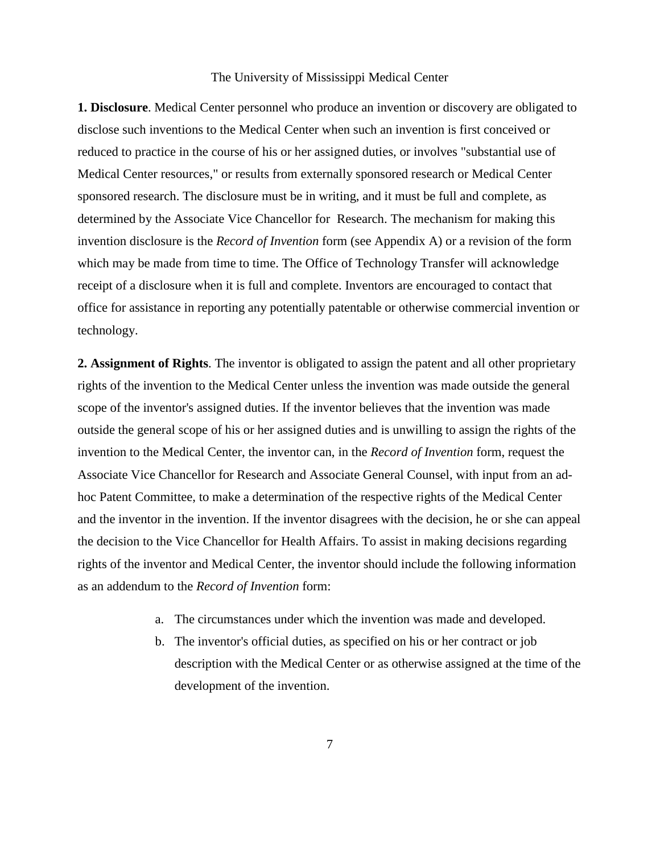**1. Disclosure**. Medical Center personnel who produce an invention or discovery are obligated to disclose such inventions to the Medical Center when such an invention is first conceived or reduced to practice in the course of his or her assigned duties, or involves "substantial use of Medical Center resources," or results from externally sponsored research or Medical Center sponsored research. The disclosure must be in writing, and it must be full and complete, as determined by the Associate Vice Chancellor for Research. The mechanism for making this invention disclosure is the *Record of Invention* form (see Appendix A) or a revision of the form which may be made from time to time. The Office of Technology Transfer will acknowledge receipt of a disclosure when it is full and complete. Inventors are encouraged to contact that office for assistance in reporting any potentially patentable or otherwise commercial invention or technology.

**2. Assignment of Rights**. The inventor is obligated to assign the patent and all other proprietary rights of the invention to the Medical Center unless the invention was made outside the general scope of the inventor's assigned duties. If the inventor believes that the invention was made outside the general scope of his or her assigned duties and is unwilling to assign the rights of the invention to the Medical Center, the inventor can, in the *Record of Invention* form, request the Associate Vice Chancellor for Research and Associate General Counsel, with input from an adhoc Patent Committee, to make a determination of the respective rights of the Medical Center and the inventor in the invention. If the inventor disagrees with the decision, he or she can appeal the decision to the Vice Chancellor for Health Affairs. To assist in making decisions regarding rights of the inventor and Medical Center, the inventor should include the following information as an addendum to the *Record of Invention* form:

- a. The circumstances under which the invention was made and developed.
- b. The inventor's official duties, as specified on his or her contract or job description with the Medical Center or as otherwise assigned at the time of the development of the invention.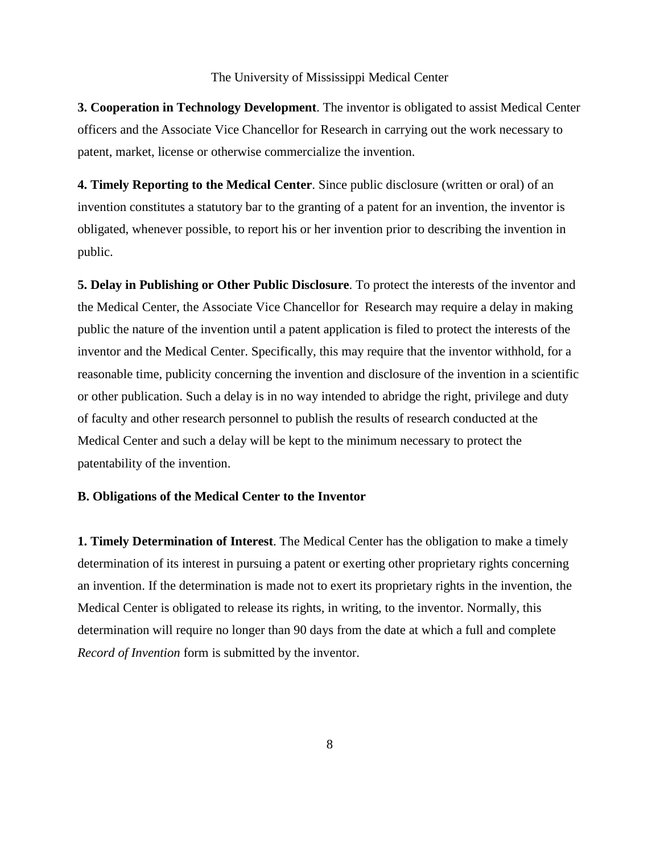**3. Cooperation in Technology Development**. The inventor is obligated to assist Medical Center officers and the Associate Vice Chancellor for Research in carrying out the work necessary to patent, market, license or otherwise commercialize the invention.

**4. Timely Reporting to the Medical Center**. Since public disclosure (written or oral) of an invention constitutes a statutory bar to the granting of a patent for an invention, the inventor is obligated, whenever possible, to report his or her invention prior to describing the invention in public.

**5. Delay in Publishing or Other Public Disclosure**. To protect the interests of the inventor and the Medical Center, the Associate Vice Chancellor for Research may require a delay in making public the nature of the invention until a patent application is filed to protect the interests of the inventor and the Medical Center. Specifically, this may require that the inventor withhold, for a reasonable time, publicity concerning the invention and disclosure of the invention in a scientific or other publication. Such a delay is in no way intended to abridge the right, privilege and duty of faculty and other research personnel to publish the results of research conducted at the Medical Center and such a delay will be kept to the minimum necessary to protect the patentability of the invention.

#### **B. Obligations of the Medical Center to the Inventor**

**1. Timely Determination of Interest**. The Medical Center has the obligation to make a timely determination of its interest in pursuing a patent or exerting other proprietary rights concerning an invention. If the determination is made not to exert its proprietary rights in the invention, the Medical Center is obligated to release its rights, in writing, to the inventor. Normally, this determination will require no longer than 90 days from the date at which a full and complete *Record of Invention* form is submitted by the inventor.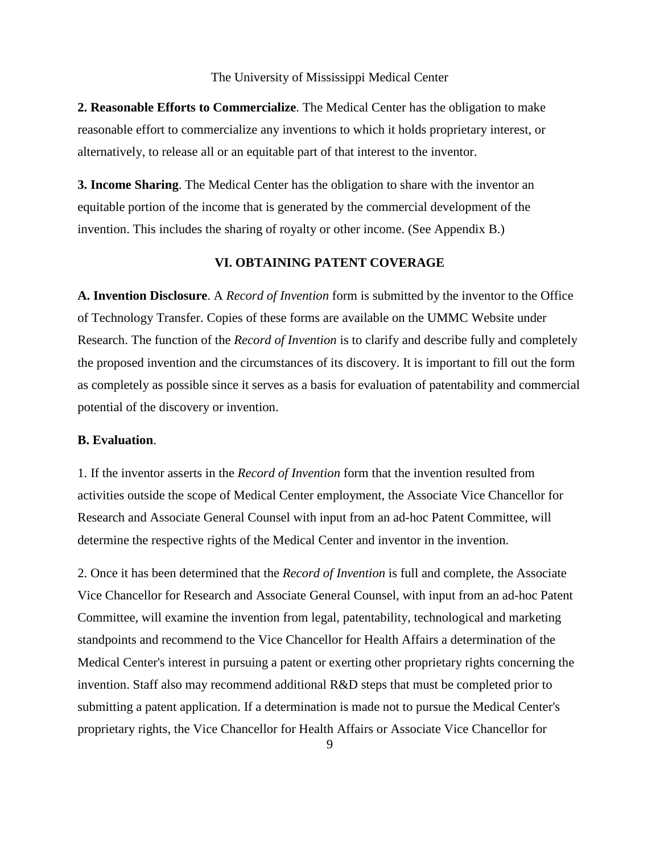**2. Reasonable Efforts to Commercialize**. The Medical Center has the obligation to make reasonable effort to commercialize any inventions to which it holds proprietary interest, or alternatively, to release all or an equitable part of that interest to the inventor.

**3. Income Sharing**. The Medical Center has the obligation to share with the inventor an equitable portion of the income that is generated by the commercial development of the invention. This includes the sharing of royalty or other income. (See Appendix B.)

### **VI. OBTAINING PATENT COVERAGE**

**A. Invention Disclosure**. A *Record of Invention* form is submitted by the inventor to the Office of Technology Transfer. Copies of these forms are available on the UMMC Website under Research. The function of the *Record of Invention* is to clarify and describe fully and completely the proposed invention and the circumstances of its discovery. It is important to fill out the form as completely as possible since it serves as a basis for evaluation of patentability and commercial potential of the discovery or invention.

#### **B. Evaluation**.

1. If the inventor asserts in the *Record of Invention* form that the invention resulted from activities outside the scope of Medical Center employment, the Associate Vice Chancellor for Research and Associate General Counsel with input from an ad-hoc Patent Committee, will determine the respective rights of the Medical Center and inventor in the invention.

2. Once it has been determined that the *Record of Invention* is full and complete, the Associate Vice Chancellor for Research and Associate General Counsel, with input from an ad-hoc Patent Committee, will examine the invention from legal, patentability, technological and marketing standpoints and recommend to the Vice Chancellor for Health Affairs a determination of the Medical Center's interest in pursuing a patent or exerting other proprietary rights concerning the invention. Staff also may recommend additional R&D steps that must be completed prior to submitting a patent application. If a determination is made not to pursue the Medical Center's proprietary rights, the Vice Chancellor for Health Affairs or Associate Vice Chancellor for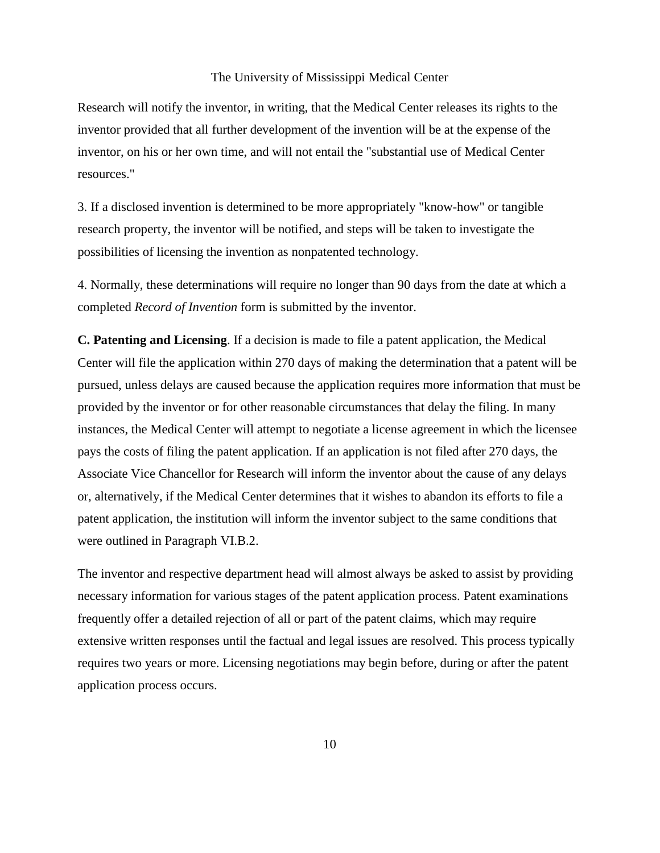Research will notify the inventor, in writing, that the Medical Center releases its rights to the inventor provided that all further development of the invention will be at the expense of the inventor, on his or her own time, and will not entail the "substantial use of Medical Center resources."

3. If a disclosed invention is determined to be more appropriately "know-how" or tangible research property, the inventor will be notified, and steps will be taken to investigate the possibilities of licensing the invention as nonpatented technology.

4. Normally, these determinations will require no longer than 90 days from the date at which a completed *Record of Invention* form is submitted by the inventor.

**C. Patenting and Licensing**. If a decision is made to file a patent application, the Medical Center will file the application within 270 days of making the determination that a patent will be pursued, unless delays are caused because the application requires more information that must be provided by the inventor or for other reasonable circumstances that delay the filing. In many instances, the Medical Center will attempt to negotiate a license agreement in which the licensee pays the costs of filing the patent application. If an application is not filed after 270 days, the Associate Vice Chancellor for Research will inform the inventor about the cause of any delays or, alternatively, if the Medical Center determines that it wishes to abandon its efforts to file a patent application, the institution will inform the inventor subject to the same conditions that were outlined in Paragraph VI.B.2.

The inventor and respective department head will almost always be asked to assist by providing necessary information for various stages of the patent application process. Patent examinations frequently offer a detailed rejection of all or part of the patent claims, which may require extensive written responses until the factual and legal issues are resolved. This process typically requires two years or more. Licensing negotiations may begin before, during or after the patent application process occurs.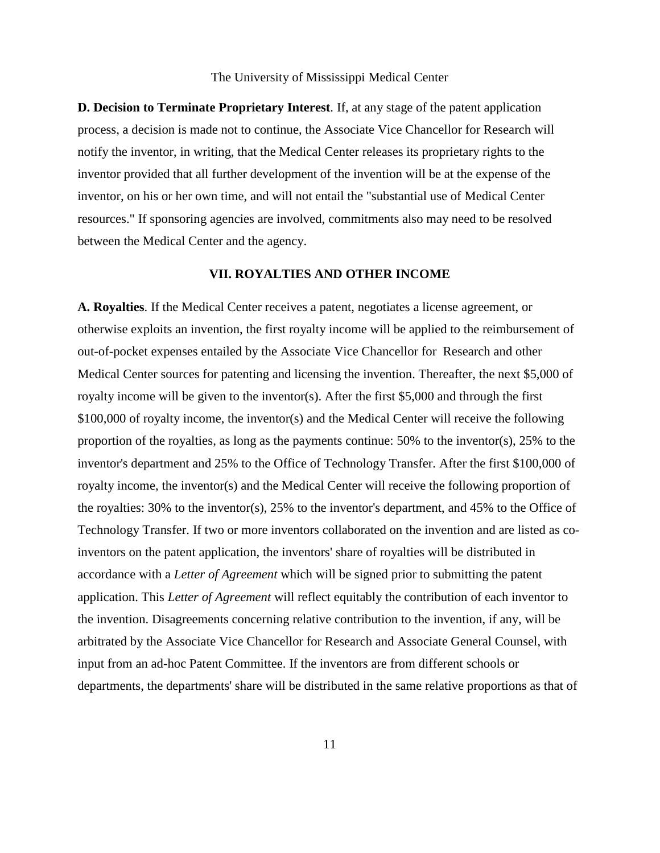**D. Decision to Terminate Proprietary Interest**. If, at any stage of the patent application process, a decision is made not to continue, the Associate Vice Chancellor for Research will notify the inventor, in writing, that the Medical Center releases its proprietary rights to the inventor provided that all further development of the invention will be at the expense of the inventor, on his or her own time, and will not entail the "substantial use of Medical Center resources." If sponsoring agencies are involved, commitments also may need to be resolved between the Medical Center and the agency.

#### **VII. ROYALTIES AND OTHER INCOME**

**A. Royalties**. If the Medical Center receives a patent, negotiates a license agreement, or otherwise exploits an invention, the first royalty income will be applied to the reimbursement of out-of-pocket expenses entailed by the Associate Vice Chancellor for Research and other Medical Center sources for patenting and licensing the invention. Thereafter, the next \$5,000 of royalty income will be given to the inventor(s). After the first \$5,000 and through the first \$100,000 of royalty income, the inventor(s) and the Medical Center will receive the following proportion of the royalties, as long as the payments continue: 50% to the inventor(s), 25% to the inventor's department and 25% to the Office of Technology Transfer. After the first \$100,000 of royalty income, the inventor(s) and the Medical Center will receive the following proportion of the royalties: 30% to the inventor(s), 25% to the inventor's department, and 45% to the Office of Technology Transfer. If two or more inventors collaborated on the invention and are listed as coinventors on the patent application, the inventors' share of royalties will be distributed in accordance with a *Letter of Agreement* which will be signed prior to submitting the patent application. This *Letter of Agreement* will reflect equitably the contribution of each inventor to the invention. Disagreements concerning relative contribution to the invention, if any, will be arbitrated by the Associate Vice Chancellor for Research and Associate General Counsel, with input from an ad-hoc Patent Committee. If the inventors are from different schools or departments, the departments' share will be distributed in the same relative proportions as that of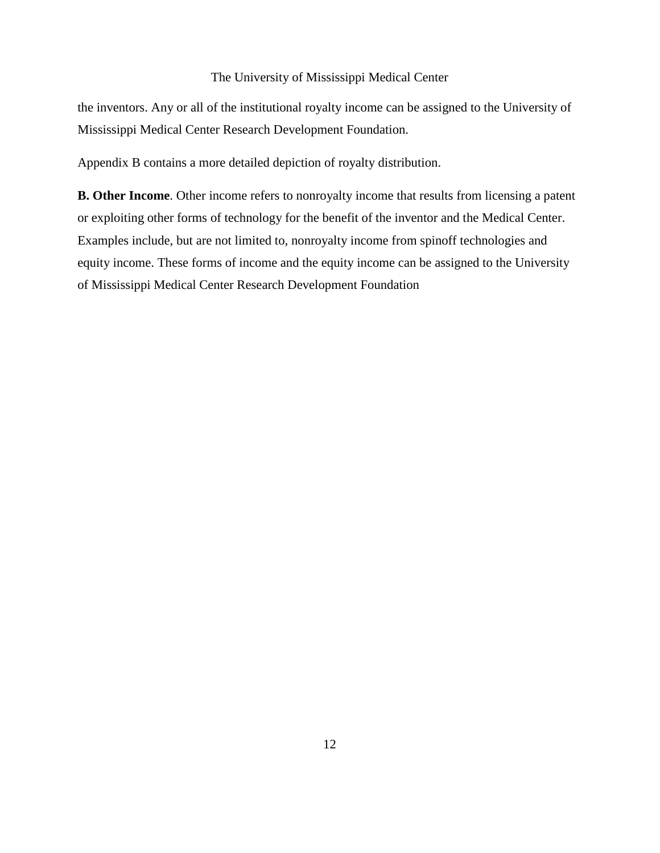the inventors. Any or all of the institutional royalty income can be assigned to the University of Mississippi Medical Center Research Development Foundation.

Appendix B contains a more detailed depiction of royalty distribution.

**B. Other Income**. Other income refers to nonroyalty income that results from licensing a patent or exploiting other forms of technology for the benefit of the inventor and the Medical Center. Examples include, but are not limited to, nonroyalty income from spinoff technologies and equity income. These forms of income and the equity income can be assigned to the University of Mississippi Medical Center Research Development Foundation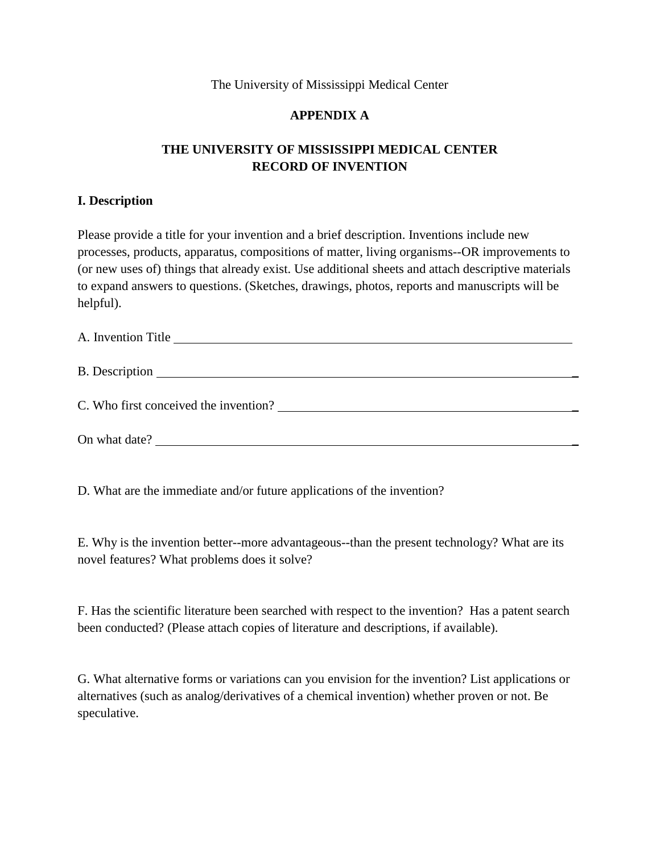# **APPENDIX A**

# **THE UNIVERSITY OF MISSISSIPPI MEDICAL CENTER RECORD OF INVENTION**

## **I. Description**

Please provide a title for your invention and a brief description. Inventions include new processes, products, apparatus, compositions of matter, living organisms--OR improvements to (or new uses of) things that already exist. Use additional sheets and attach descriptive materials to expand answers to questions. (Sketches, drawings, photos, reports and manuscripts will be helpful).

| A. Invention Title                    |
|---------------------------------------|
| B. Description                        |
| C. Who first conceived the invention? |
| On what date?                         |

D. What are the immediate and/or future applications of the invention?

E. Why is the invention better--more advantageous--than the present technology? What are its novel features? What problems does it solve?

F. Has the scientific literature been searched with respect to the invention? Has a patent search been conducted? (Please attach copies of literature and descriptions, if available).

G. What alternative forms or variations can you envision for the invention? List applications or alternatives (such as analog/derivatives of a chemical invention) whether proven or not. Be speculative.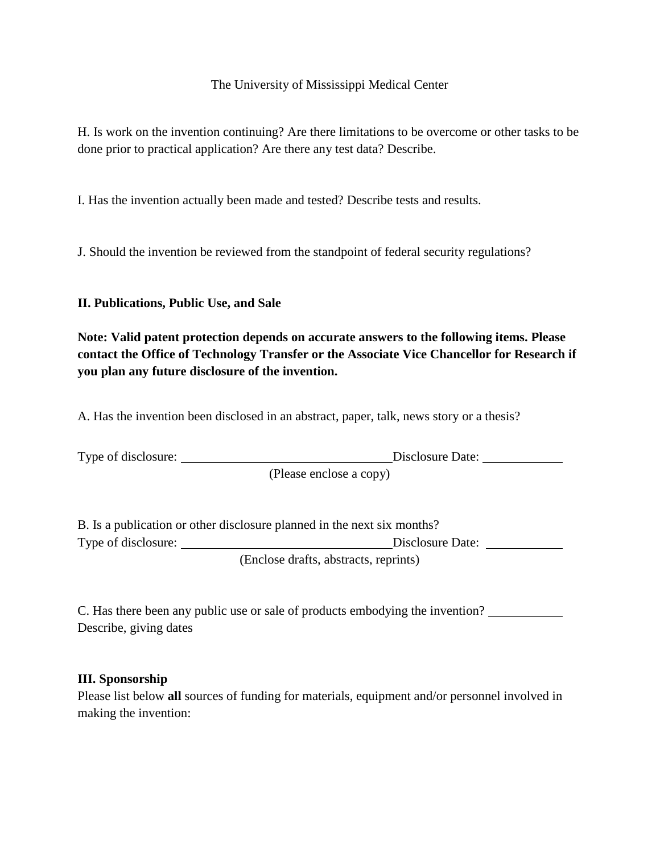H. Is work on the invention continuing? Are there limitations to be overcome or other tasks to be done prior to practical application? Are there any test data? Describe.

I. Has the invention actually been made and tested? Describe tests and results.

J. Should the invention be reviewed from the standpoint of federal security regulations?

## **II. Publications, Public Use, and Sale**

**Note: Valid patent protection depends on accurate answers to the following items. Please contact the Office of Technology Transfer or the Associate Vice Chancellor for Research if you plan any future disclosure of the invention.** 

A. Has the invention been disclosed in an abstract, paper, talk, news story or a thesis?

| Type of disclosure: | Disclosure Date:        |  |
|---------------------|-------------------------|--|
|                     | (Please enclose a copy) |  |

B. Is a publication or other disclosure planned in the next six months? Type of disclosure: <u>Disclosure Date:</u>

(Enclose drafts, abstracts, reprints)

| C. Has there been any public use or sale of products embodying the invention? |  |
|-------------------------------------------------------------------------------|--|
| Describe, giving dates                                                        |  |

### **III. Sponsorship**

Please list below **all** sources of funding for materials, equipment and/or personnel involved in making the invention: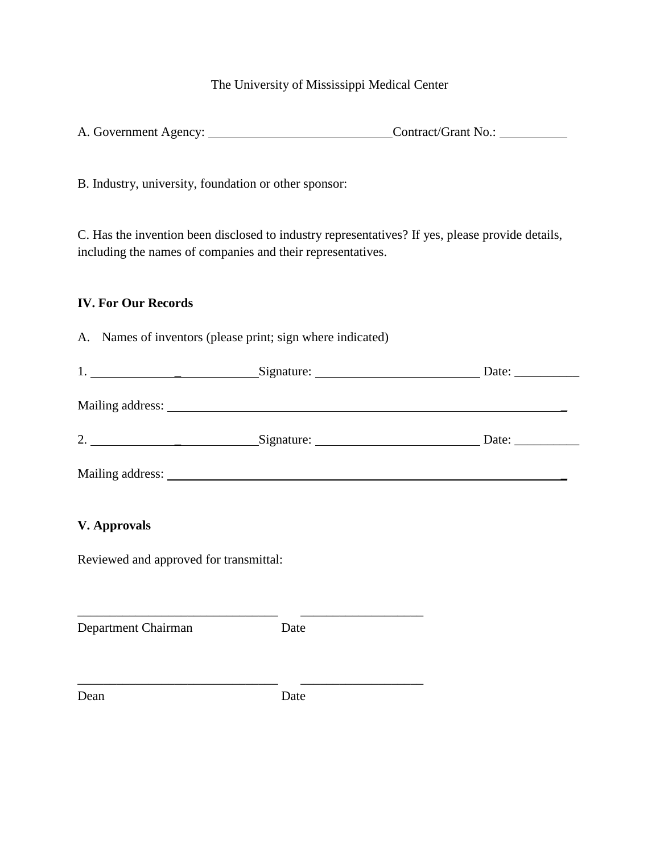| A. Government Agency: | Contract/Grant No.: |
|-----------------------|---------------------|
|                       |                     |

B. Industry, university, foundation or other sponsor:

C. Has the invention been disclosed to industry representatives? If yes, please provide details, including the names of companies and their representatives.

## **IV. For Our Records**

A. Names of inventors (please print; sign where indicated)

| <b>V.</b> Approvals                    |                                                       |  |
|----------------------------------------|-------------------------------------------------------|--|
| Reviewed and approved for transmittal: |                                                       |  |
| Department Chairman                    | Date                                                  |  |
| Dean                                   | <u> 1980 - Andrea Andrew Maria (h. 1980).</u><br>Date |  |